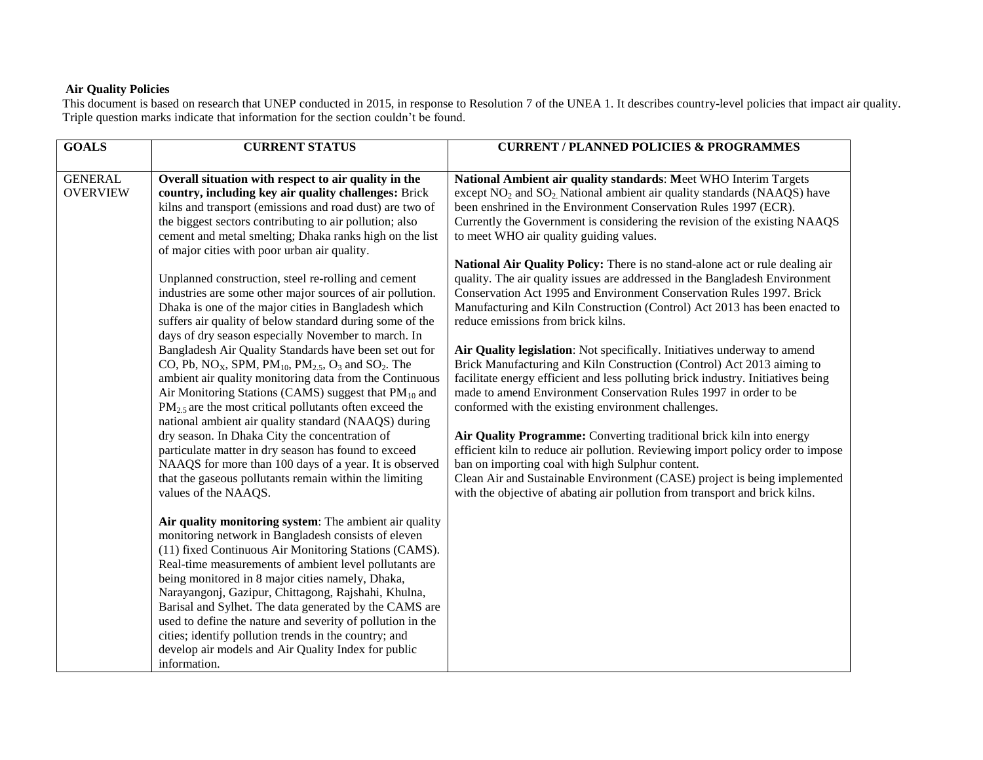## **Air Quality Policies**

This document is based on research that UNEP conducted in 2015, in response to Resolution 7 of the UNEA 1. It describes country-level policies that impact air quality. Triple question marks indicate that information for the section couldn't be found.

| <b>GOALS</b>    | <b>CURRENT STATUS</b>                                                                                          | <b>CURRENT / PLANNED POLICIES &amp; PROGRAMMES</b>                               |
|-----------------|----------------------------------------------------------------------------------------------------------------|----------------------------------------------------------------------------------|
|                 |                                                                                                                |                                                                                  |
| <b>GENERAL</b>  | Overall situation with respect to air quality in the                                                           | National Ambient air quality standards: Meet WHO Interim Targets                 |
| <b>OVERVIEW</b> | country, including key air quality challenges: Brick                                                           | except $NO2$ and $SO2$ National ambient air quality standards (NAAQS) have       |
|                 | kilns and transport (emissions and road dust) are two of                                                       | been enshrined in the Environment Conservation Rules 1997 (ECR).                 |
|                 | the biggest sectors contributing to air pollution; also                                                        | Currently the Government is considering the revision of the existing NAAQS       |
|                 | cement and metal smelting; Dhaka ranks high on the list<br>of major cities with poor urban air quality.        | to meet WHO air quality guiding values.                                          |
|                 |                                                                                                                | National Air Quality Policy: There is no stand-alone act or rule dealing air     |
|                 | Unplanned construction, steel re-rolling and cement                                                            | quality. The air quality issues are addressed in the Bangladesh Environment      |
|                 | industries are some other major sources of air pollution.                                                      | Conservation Act 1995 and Environment Conservation Rules 1997. Brick             |
|                 | Dhaka is one of the major cities in Bangladesh which                                                           | Manufacturing and Kiln Construction (Control) Act 2013 has been enacted to       |
|                 | suffers air quality of below standard during some of the                                                       | reduce emissions from brick kilns.                                               |
|                 | days of dry season especially November to march. In                                                            |                                                                                  |
|                 | Bangladesh Air Quality Standards have been set out for                                                         | Air Quality legislation: Not specifically. Initiatives underway to amend         |
|                 | CO, Pb, NO <sub>X</sub> , SPM, PM <sub>10</sub> , PM <sub>2.5</sub> , O <sub>3</sub> and SO <sub>2</sub> . The | Brick Manufacturing and Kiln Construction (Control) Act 2013 aiming to           |
|                 | ambient air quality monitoring data from the Continuous                                                        | facilitate energy efficient and less polluting brick industry. Initiatives being |
|                 | Air Monitoring Stations (CAMS) suggest that $PM_{10}$ and                                                      | made to amend Environment Conservation Rules 1997 in order to be                 |
|                 | $PM_{2.5}$ are the most critical pollutants often exceed the                                                   | conformed with the existing environment challenges.                              |
|                 | national ambient air quality standard (NAAQS) during                                                           |                                                                                  |
|                 | dry season. In Dhaka City the concentration of                                                                 | Air Quality Programme: Converting traditional brick kiln into energy             |
|                 | particulate matter in dry season has found to exceed                                                           | efficient kiln to reduce air pollution. Reviewing import policy order to impose  |
|                 | NAAQS for more than 100 days of a year. It is observed                                                         | ban on importing coal with high Sulphur content.                                 |
|                 | that the gaseous pollutants remain within the limiting                                                         | Clean Air and Sustainable Environment (CASE) project is being implemented        |
|                 | values of the NAAQS.                                                                                           | with the objective of abating air pollution from transport and brick kilns.      |
|                 |                                                                                                                |                                                                                  |
|                 | Air quality monitoring system: The ambient air quality                                                         |                                                                                  |
|                 | monitoring network in Bangladesh consists of eleven                                                            |                                                                                  |
|                 | (11) fixed Continuous Air Monitoring Stations (CAMS).                                                          |                                                                                  |
|                 | Real-time measurements of ambient level pollutants are                                                         |                                                                                  |
|                 | being monitored in 8 major cities namely, Dhaka,                                                               |                                                                                  |
|                 | Narayangonj, Gazipur, Chittagong, Rajshahi, Khulna,                                                            |                                                                                  |
|                 | Barisal and Sylhet. The data generated by the CAMS are                                                         |                                                                                  |
|                 | used to define the nature and severity of pollution in the                                                     |                                                                                  |
|                 | cities; identify pollution trends in the country; and                                                          |                                                                                  |
|                 | develop air models and Air Quality Index for public                                                            |                                                                                  |
|                 | information.                                                                                                   |                                                                                  |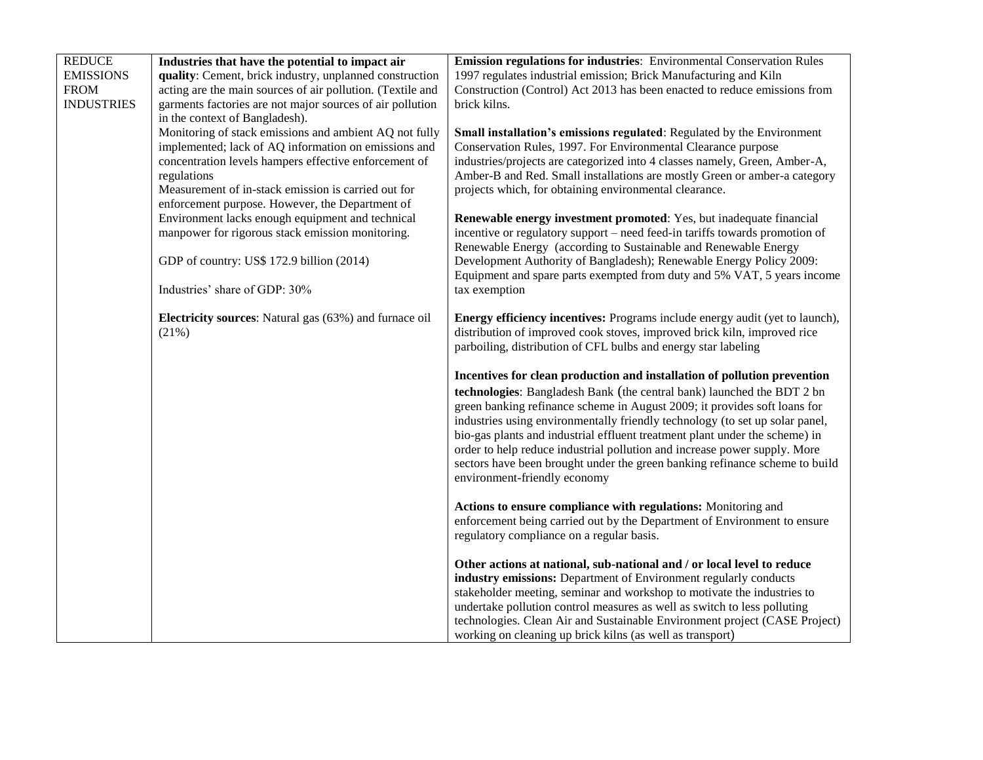| <b>REDUCE</b>     | Industries that have the potential to impact air                                                     | Emission regulations for industries: Environmental Conservation Rules                                                                          |
|-------------------|------------------------------------------------------------------------------------------------------|------------------------------------------------------------------------------------------------------------------------------------------------|
| <b>EMISSIONS</b>  | quality: Cement, brick industry, unplanned construction                                              | 1997 regulates industrial emission; Brick Manufacturing and Kiln                                                                               |
| <b>FROM</b>       | acting are the main sources of air pollution. (Textile and                                           | Construction (Control) Act 2013 has been enacted to reduce emissions from                                                                      |
| <b>INDUSTRIES</b> | garments factories are not major sources of air pollution                                            | brick kilns.                                                                                                                                   |
|                   | in the context of Bangladesh).                                                                       |                                                                                                                                                |
|                   | Monitoring of stack emissions and ambient AQ not fully                                               | Small installation's emissions regulated: Regulated by the Environment                                                                         |
|                   | implemented; lack of AQ information on emissions and                                                 | Conservation Rules, 1997. For Environmental Clearance purpose                                                                                  |
|                   | concentration levels hampers effective enforcement of                                                | industries/projects are categorized into 4 classes namely, Green, Amber-A,                                                                     |
|                   | regulations                                                                                          | Amber-B and Red. Small installations are mostly Green or amber-a category                                                                      |
|                   | Measurement of in-stack emission is carried out for                                                  | projects which, for obtaining environmental clearance.                                                                                         |
|                   | enforcement purpose. However, the Department of                                                      |                                                                                                                                                |
|                   | Environment lacks enough equipment and technical<br>manpower for rigorous stack emission monitoring. | Renewable energy investment promoted: Yes, but inadequate financial                                                                            |
|                   |                                                                                                      | incentive or regulatory support – need feed-in tariffs towards promotion of<br>Renewable Energy (according to Sustainable and Renewable Energy |
|                   | GDP of country: US\$ 172.9 billion (2014)                                                            | Development Authority of Bangladesh); Renewable Energy Policy 2009:                                                                            |
|                   |                                                                                                      | Equipment and spare parts exempted from duty and 5% VAT, 5 years income                                                                        |
|                   | Industries' share of GDP: 30%                                                                        | tax exemption                                                                                                                                  |
|                   |                                                                                                      |                                                                                                                                                |
|                   | Electricity sources: Natural gas (63%) and furnace oil                                               | <b>Energy efficiency incentives:</b> Programs include energy audit (yet to launch),                                                            |
|                   | (21%)                                                                                                | distribution of improved cook stoves, improved brick kiln, improved rice                                                                       |
|                   |                                                                                                      | parboiling, distribution of CFL bulbs and energy star labeling                                                                                 |
|                   |                                                                                                      |                                                                                                                                                |
|                   |                                                                                                      | Incentives for clean production and installation of pollution prevention                                                                       |
|                   |                                                                                                      | technologies: Bangladesh Bank (the central bank) launched the BDT 2 bn                                                                         |
|                   |                                                                                                      | green banking refinance scheme in August 2009; it provides soft loans for                                                                      |
|                   |                                                                                                      | industries using environmentally friendly technology (to set up solar panel,                                                                   |
|                   |                                                                                                      | bio-gas plants and industrial effluent treatment plant under the scheme) in                                                                    |
|                   |                                                                                                      | order to help reduce industrial pollution and increase power supply. More                                                                      |
|                   |                                                                                                      | sectors have been brought under the green banking refinance scheme to build                                                                    |
|                   |                                                                                                      | environment-friendly economy                                                                                                                   |
|                   |                                                                                                      | Actions to ensure compliance with regulations: Monitoring and                                                                                  |
|                   |                                                                                                      | enforcement being carried out by the Department of Environment to ensure                                                                       |
|                   |                                                                                                      | regulatory compliance on a regular basis.                                                                                                      |
|                   |                                                                                                      |                                                                                                                                                |
|                   |                                                                                                      | Other actions at national, sub-national and / or local level to reduce                                                                         |
|                   |                                                                                                      | industry emissions: Department of Environment regularly conducts                                                                               |
|                   |                                                                                                      | stakeholder meeting, seminar and workshop to motivate the industries to                                                                        |
|                   |                                                                                                      | undertake pollution control measures as well as switch to less polluting                                                                       |
|                   |                                                                                                      | technologies. Clean Air and Sustainable Environment project (CASE Project)                                                                     |
|                   |                                                                                                      | working on cleaning up brick kilns (as well as transport)                                                                                      |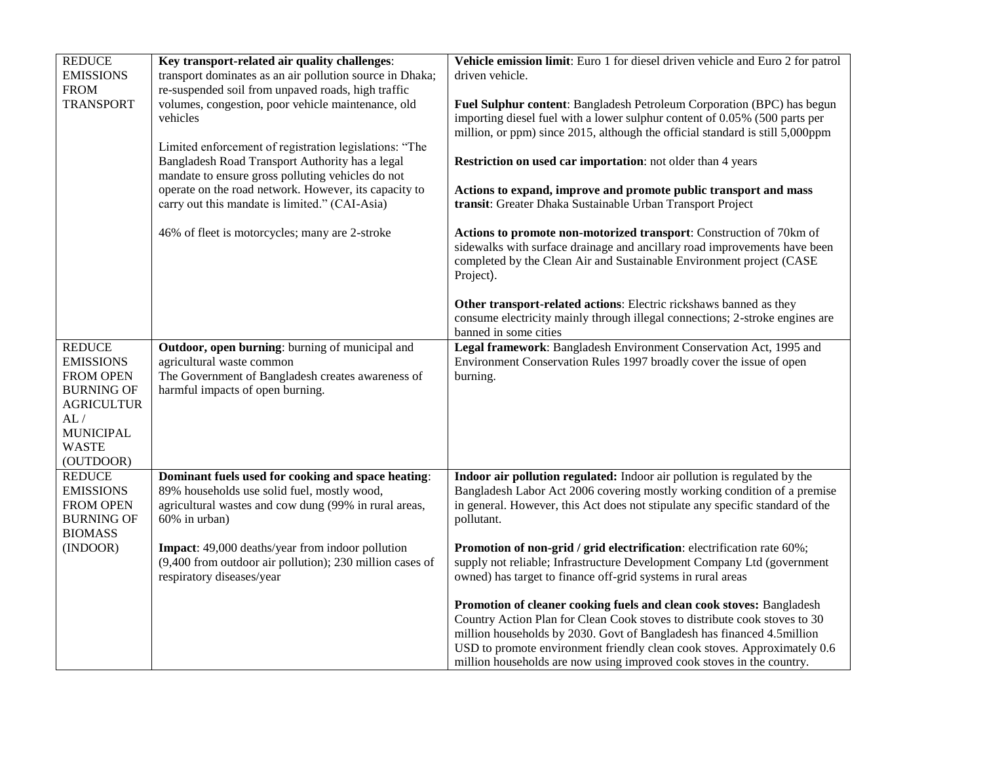| carry out this mandate is limited." (CAI-Asia)<br>46% of fleet is motorcycles; many are 2-stroke                                                                                                                                                                                                                         | Actions to expand, improve and promote public transport and mass<br>transit: Greater Dhaka Sustainable Urban Transport Project<br>Actions to promote non-motorized transport: Construction of 70km of<br>sidewalks with surface drainage and ancillary road improvements have been<br>completed by the Clean Air and Sustainable Environment project (CASE<br>Project).<br>Other transport-related actions: Electric rickshaws banned as they<br>consume electricity mainly through illegal connections; 2-stroke engines are                                                                                                                                                                                                                                                        |
|--------------------------------------------------------------------------------------------------------------------------------------------------------------------------------------------------------------------------------------------------------------------------------------------------------------------------|--------------------------------------------------------------------------------------------------------------------------------------------------------------------------------------------------------------------------------------------------------------------------------------------------------------------------------------------------------------------------------------------------------------------------------------------------------------------------------------------------------------------------------------------------------------------------------------------------------------------------------------------------------------------------------------------------------------------------------------------------------------------------------------|
| Outdoor, open burning: burning of municipal and<br>agricultural waste common<br>The Government of Bangladesh creates awareness of<br>harmful impacts of open burning.                                                                                                                                                    | banned in some cities<br>Legal framework: Bangladesh Environment Conservation Act, 1995 and<br>Environment Conservation Rules 1997 broadly cover the issue of open<br>burning.                                                                                                                                                                                                                                                                                                                                                                                                                                                                                                                                                                                                       |
| Dominant fuels used for cooking and space heating:<br>89% households use solid fuel, mostly wood,<br>agricultural wastes and cow dung (99% in rural areas,<br>60% in urban)<br>Impact: 49,000 deaths/year from indoor pollution<br>(9,400 from outdoor air pollution); 230 million cases of<br>respiratory diseases/year | Indoor air pollution regulated: Indoor air pollution is regulated by the<br>Bangladesh Labor Act 2006 covering mostly working condition of a premise<br>in general. However, this Act does not stipulate any specific standard of the<br>pollutant.<br>Promotion of non-grid / grid electrification: electrification rate 60%;<br>supply not reliable; Infrastructure Development Company Ltd (government<br>owned) has target to finance off-grid systems in rural areas<br>Promotion of cleaner cooking fuels and clean cook stoves: Bangladesh<br>Country Action Plan for Clean Cook stoves to distribute cook stoves to 30<br>million households by 2030. Govt of Bangladesh has financed 4.5million<br>USD to promote environment friendly clean cook stoves. Approximately 0.6 |
|                                                                                                                                                                                                                                                                                                                          |                                                                                                                                                                                                                                                                                                                                                                                                                                                                                                                                                                                                                                                                                                                                                                                      |